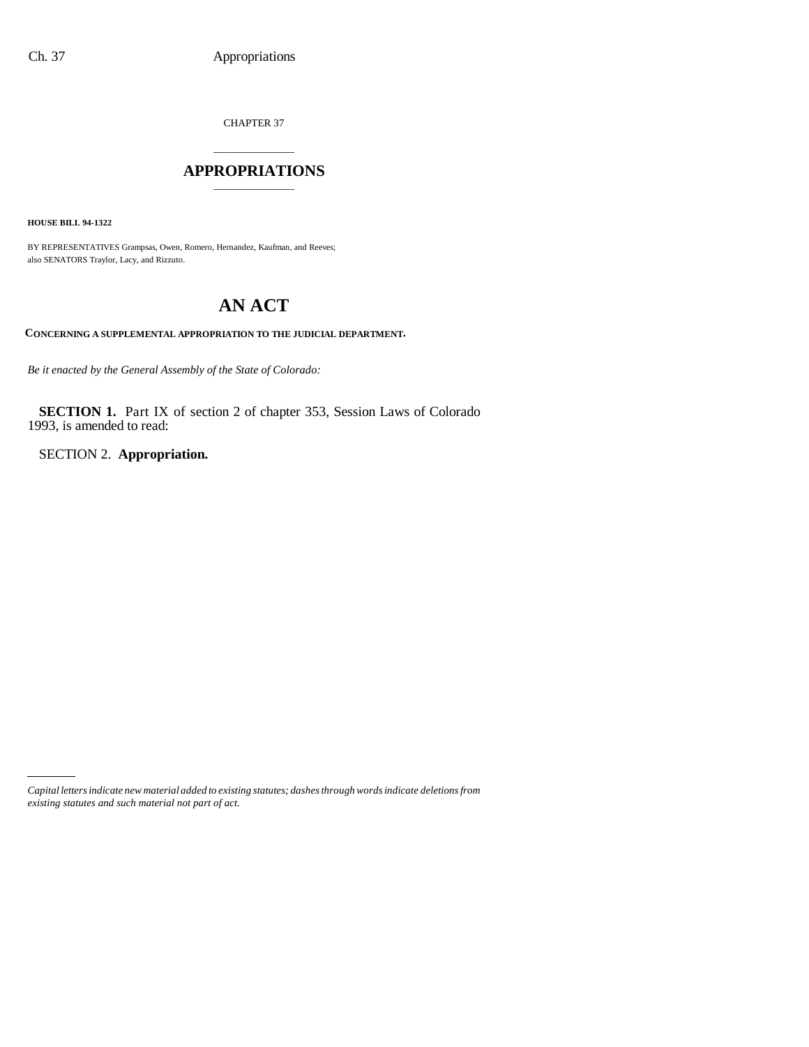CHAPTER 37

### \_\_\_\_\_\_\_\_\_\_\_\_\_\_\_ **APPROPRIATIONS** \_\_\_\_\_\_\_\_\_\_\_\_\_\_\_

**HOUSE BILL 94-1322**

BY REPRESENTATIVES Grampsas, Owen, Romero, Hernandez, Kaufman, and Reeves; also SENATORS Traylor, Lacy, and Rizzuto.

# **AN ACT**

**CONCERNING A SUPPLEMENTAL APPROPRIATION TO THE JUDICIAL DEPARTMENT.**

*Be it enacted by the General Assembly of the State of Colorado:*

**SECTION 1.** Part IX of section 2 of chapter 353, Session Laws of Colorado 1993, is amended to read:

SECTION 2. **Appropriation.**

*Capital letters indicate new material added to existing statutes; dashes through words indicate deletions from existing statutes and such material not part of act.*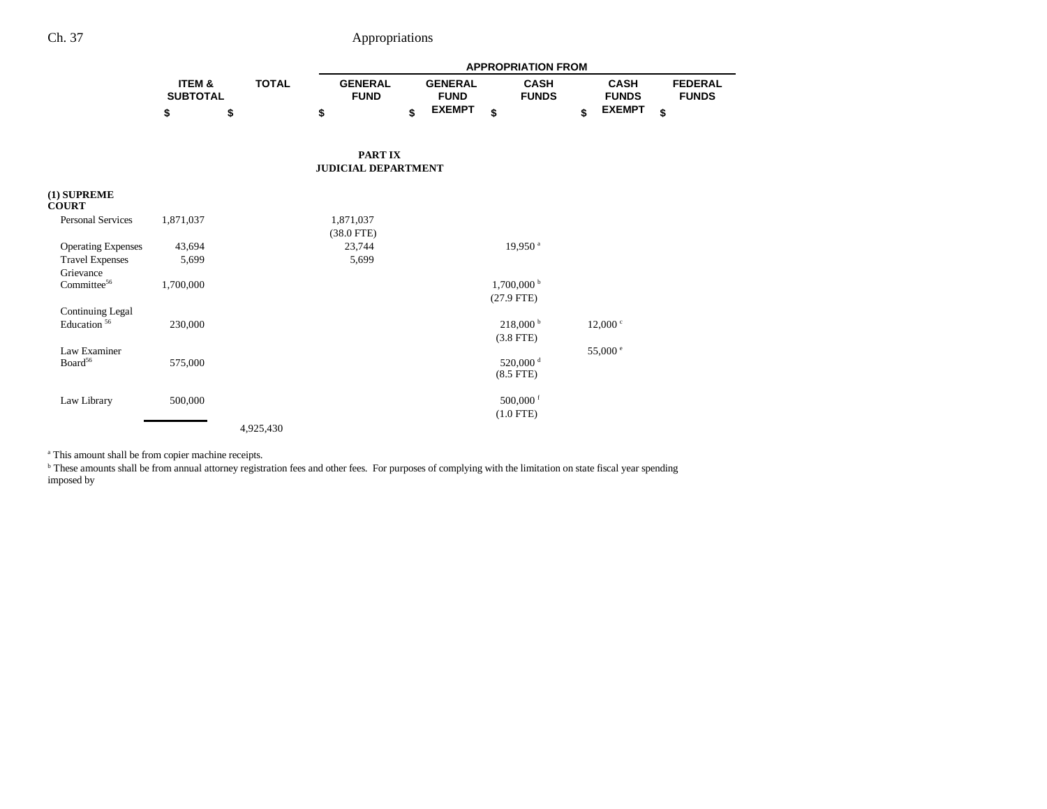|                                     |                           |              |                               | <b>APPROPRIATION FROM</b> |                               |                                     |    |                             |    |                                |  |  |  |
|-------------------------------------|---------------------------|--------------|-------------------------------|---------------------------|-------------------------------|-------------------------------------|----|-----------------------------|----|--------------------------------|--|--|--|
|                                     | ITEM &<br><b>SUBTOTAL</b> | <b>TOTAL</b> | <b>GENERAL</b><br><b>FUND</b> |                           | <b>GENERAL</b><br><b>FUND</b> | <b>CASH</b><br><b>FUNDS</b>         |    | <b>CASH</b><br><b>FUNDS</b> |    | <b>FEDERAL</b><br><b>FUNDS</b> |  |  |  |
|                                     | \$                        | \$           | \$                            | \$                        | <b>EXEMPT</b>                 | \$                                  | \$ | <b>EXEMPT</b>               | \$ |                                |  |  |  |
|                                     |                           |              |                               | <b>PARTIX</b>             |                               |                                     |    |                             |    |                                |  |  |  |
|                                     |                           |              | <b>JUDICIAL DEPARTMENT</b>    |                           |                               |                                     |    |                             |    |                                |  |  |  |
| $(1)$ SUPREME<br><b>COURT</b>       |                           |              |                               |                           |                               |                                     |    |                             |    |                                |  |  |  |
| <b>Personal Services</b>            | 1,871,037                 |              | 1,871,037<br>$(38.0$ FTE)     |                           |                               |                                     |    |                             |    |                                |  |  |  |
| <b>Operating Expenses</b>           | 43,694                    |              | 23,744                        |                           |                               | 19,950 <sup>a</sup>                 |    |                             |    |                                |  |  |  |
| <b>Travel Expenses</b>              | 5,699                     |              | 5,699                         |                           |                               |                                     |    |                             |    |                                |  |  |  |
| Grievance                           |                           |              |                               |                           |                               |                                     |    |                             |    |                                |  |  |  |
| Committee <sup>56</sup>             | 1,700,000                 |              |                               |                           |                               | $1,700,000$ b                       |    |                             |    |                                |  |  |  |
|                                     |                           |              |                               |                           |                               | $(27.9$ FTE)                        |    |                             |    |                                |  |  |  |
| <b>Continuing Legal</b>             |                           |              |                               |                           |                               |                                     |    |                             |    |                                |  |  |  |
| Education <sup>56</sup>             | 230,000                   |              |                               |                           |                               | $218,000^{\mathrm{b}}$              |    | 12,000 °                    |    |                                |  |  |  |
|                                     |                           |              |                               |                           |                               | $(3.8$ FTE)                         |    |                             |    |                                |  |  |  |
| Law Examiner<br>Board <sup>56</sup> | 575,000                   |              |                               |                           |                               | 520,000 <sup>d</sup><br>$(8.5$ FTE) |    | 55,000 e                    |    |                                |  |  |  |
| Law Library                         | 500,000                   |              |                               |                           |                               | 500,000 f                           |    |                             |    |                                |  |  |  |
|                                     |                           |              |                               |                           |                               | $(1.0$ FTE)                         |    |                             |    |                                |  |  |  |
|                                     |                           | 4,925,430    |                               |                           |                               |                                     |    |                             |    |                                |  |  |  |

<sup>a</sup> This amount shall be from copier machine receipts.

b These amounts shall be from annual attorney registration fees and other fees. For purposes of complying with the limitation on state fiscal year spending imposed by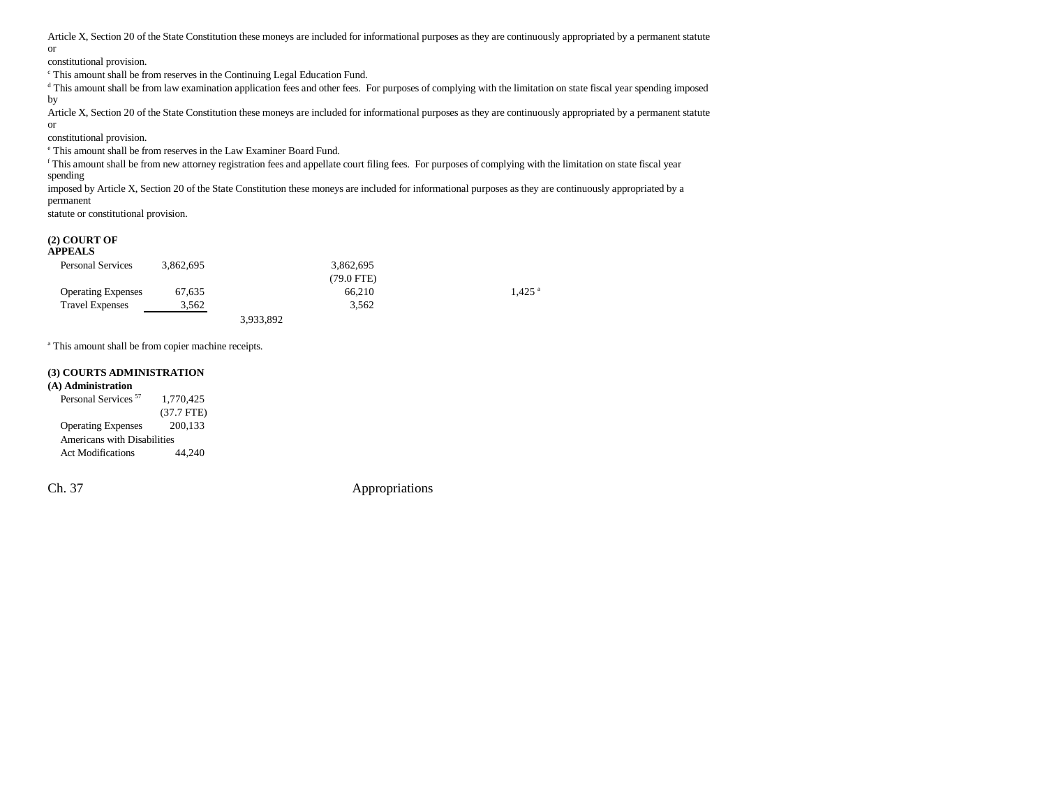Article X, Section 20 of the State Constitution these moneys are included for informational purposes as they are continuously appropriated by a permanent statute or

constitutional provision.

c This amount shall be from reserves in the Continuing Legal Education Fund.

<sup>d</sup> This amount shall be from law examination application fees and other fees. For purposes of complying with the limitation on state fiscal year spending imposed by

Article X, Section 20 of the State Constitution these moneys are included for informational purposes as they are continuously appropriated by a permanent statute or

constitutional provision.

e This amount shall be from reserves in the Law Examiner Board Fund.

f This amount shall be from new attorney registration fees and appellate court filing fees. For purposes of complying with the limitation on state fiscal year spending

imposed by Article X, Section 20 of the State Constitution these moneys are included for informational purposes as they are continuously appropriated by a permanent

statute or constitutional provision.

# **(2) COURT OF APPEALS**

| APPEALS          |  |
|------------------|--|
| Dersonal Cervice |  |

| <b>Personal Services</b>  | 3.862.695 |           | 3.862.695       |           |
|---------------------------|-----------|-----------|-----------------|-----------|
|                           |           |           | $(79.0$ FTE $)$ |           |
| <b>Operating Expenses</b> | 67.635    |           | 66.210          | $1.425$ a |
| <b>Travel Expenses</b>    | 3.562     |           | 3.562           |           |
|                           |           | 3,933,892 |                 |           |

<sup>a</sup> This amount shall be from copier machine receipts.

#### **(3) COURTS ADMINISTRATION**

**(A) Administration** Personal Services<sup>57</sup> 1,770,425 (37.7 FTE) Operating Expenses 200,133 Americans with Disabilities Act Modifications 44,240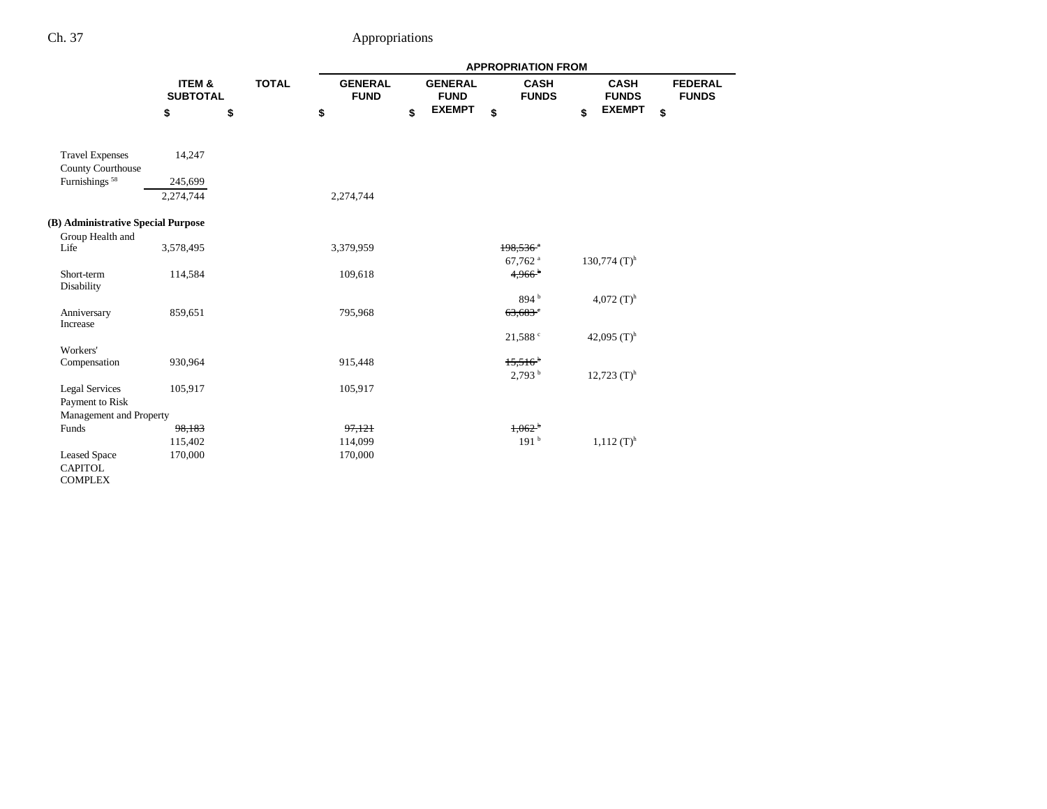|                                                    |           |                                           |  | <b>APPROPRIATION FROM</b>     |    |                               |                                             |    |                             |    |                                |  |  |
|----------------------------------------------------|-----------|-------------------------------------------|--|-------------------------------|----|-------------------------------|---------------------------------------------|----|-----------------------------|----|--------------------------------|--|--|
|                                                    |           | ITEM &<br><b>TOTAL</b><br><b>SUBTOTAL</b> |  | <b>GENERAL</b><br><b>FUND</b> |    | <b>GENERAL</b><br><b>FUND</b> | <b>CASH</b><br><b>FUNDS</b>                 |    | <b>CASH</b><br><b>FUNDS</b> |    | <b>FEDERAL</b><br><b>FUNDS</b> |  |  |
|                                                    | \$        | \$                                        |  | \$                            | \$ | <b>EXEMPT</b>                 | \$                                          | \$ | <b>EXEMPT</b>               | \$ |                                |  |  |
| <b>Travel Expenses</b><br><b>County Courthouse</b> | 14,247    |                                           |  |                               |    |                               |                                             |    |                             |    |                                |  |  |
| Furnishings <sup>58</sup>                          | 245,699   |                                           |  |                               |    |                               |                                             |    |                             |    |                                |  |  |
|                                                    | 2,274,744 |                                           |  | 2,274,744                     |    |                               |                                             |    |                             |    |                                |  |  |
| (B) Administrative Special Purpose                 |           |                                           |  |                               |    |                               |                                             |    |                             |    |                                |  |  |
| Group Health and                                   |           |                                           |  |                               |    |                               |                                             |    |                             |    |                                |  |  |
| Life                                               | 3,578,495 |                                           |  | 3,379,959                     |    |                               | $198.536$ <sup>a</sup>                      |    |                             |    |                                |  |  |
| Short-term                                         |           |                                           |  | 109,618                       |    |                               | 67,762 <sup>a</sup><br>$4,966$ <sup>b</sup> |    | $130,774$ (T) <sup>h</sup>  |    |                                |  |  |
| Disability                                         | 114,584   |                                           |  |                               |    |                               |                                             |    |                             |    |                                |  |  |
|                                                    |           |                                           |  |                               |    |                               | 894 <sup>b</sup>                            |    | 4,072 $(T)^h$               |    |                                |  |  |
| Anniversary                                        | 859,651   |                                           |  | 795,968                       |    |                               | $63,683$ <sup>e</sup>                       |    |                             |    |                                |  |  |
| Increase                                           |           |                                           |  |                               |    |                               |                                             |    |                             |    |                                |  |  |
|                                                    |           |                                           |  |                               |    |                               | 21,588°                                     |    | 42,095 $(T)^h$              |    |                                |  |  |
| Workers'                                           |           |                                           |  |                               |    |                               |                                             |    |                             |    |                                |  |  |
| Compensation                                       | 930,964   |                                           |  | 915,448                       |    |                               | $15,516^{b}$                                |    |                             |    |                                |  |  |
|                                                    |           |                                           |  |                               |    |                               | 2,793 <sup>b</sup>                          |    | $12,723$ $(T)$ <sup>h</sup> |    |                                |  |  |
| <b>Legal Services</b>                              | 105,917   |                                           |  | 105,917                       |    |                               |                                             |    |                             |    |                                |  |  |
| Payment to Risk<br>Management and Property         |           |                                           |  |                               |    |                               |                                             |    |                             |    |                                |  |  |
| Funds                                              | 98,183    |                                           |  | 97,121                        |    |                               | 1,062 <sup>b</sup>                          |    |                             |    |                                |  |  |
|                                                    | 115,402   |                                           |  | 114,099                       |    |                               | 191 <sup>b</sup>                            |    | $1,112$ (T) <sup>h</sup>    |    |                                |  |  |
| <b>Leased Space</b>                                | 170,000   |                                           |  | 170,000                       |    |                               |                                             |    |                             |    |                                |  |  |
| <b>CAPITOL</b>                                     |           |                                           |  |                               |    |                               |                                             |    |                             |    |                                |  |  |
| <b>COMPLEX</b>                                     |           |                                           |  |                               |    |                               |                                             |    |                             |    |                                |  |  |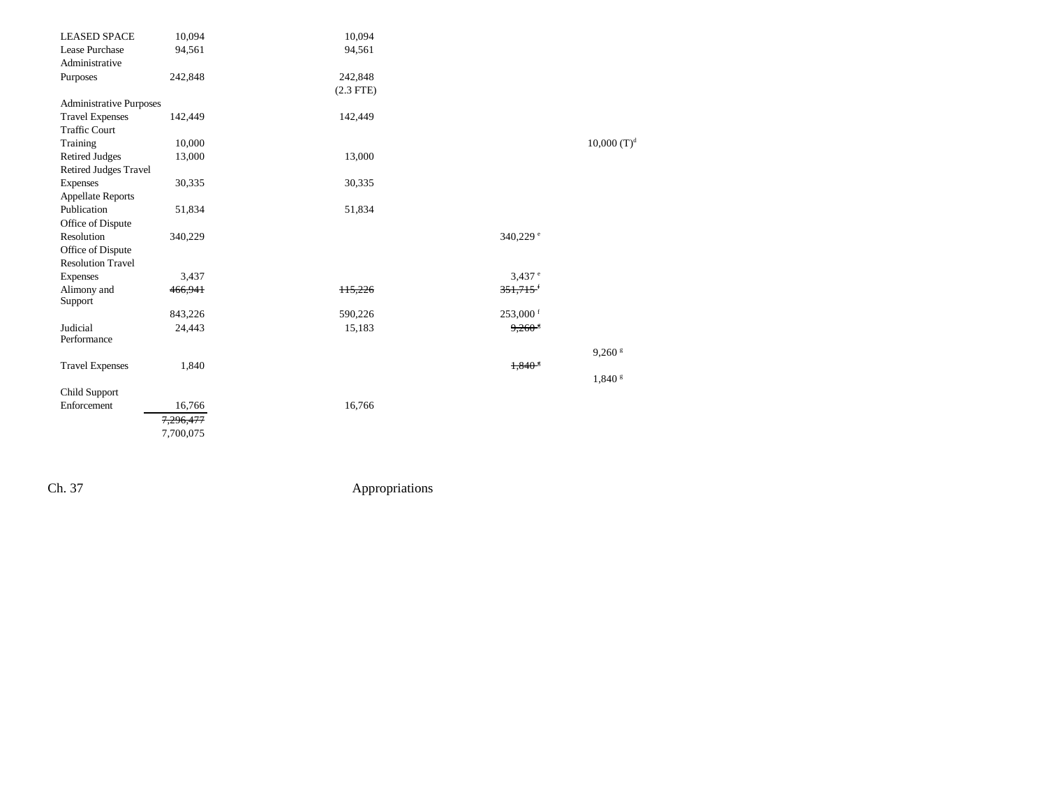| <b>LEASED SPACE</b>            | 10,094    | 10,094      |                      |                  |
|--------------------------------|-----------|-------------|----------------------|------------------|
| Lease Purchase                 | 94,561    | 94,561      |                      |                  |
| Administrative                 |           |             |                      |                  |
| Purposes                       | 242,848   | 242,848     |                      |                  |
|                                |           | $(2.3$ FTE) |                      |                  |
| <b>Administrative Purposes</b> |           |             |                      |                  |
| <b>Travel Expenses</b>         | 142,449   | 142,449     |                      |                  |
| <b>Traffic Court</b>           |           |             |                      |                  |
| Training                       | 10,000    |             |                      | $10,000$ $(T)^d$ |
| <b>Retired Judges</b>          | 13,000    | 13,000      |                      |                  |
| <b>Retired Judges Travel</b>   |           |             |                      |                  |
| Expenses                       | 30,335    | 30,335      |                      |                  |
| <b>Appellate Reports</b>       |           |             |                      |                  |
| Publication                    | 51,834    | 51,834      |                      |                  |
| Office of Dispute              |           |             |                      |                  |
| Resolution                     | 340,229   |             | 340,229 °            |                  |
| Office of Dispute              |           |             |                      |                  |
| <b>Resolution Travel</b>       |           |             |                      |                  |
| Expenses                       | 3,437     |             | $3,437$ <sup>e</sup> |                  |
| Alimony and                    | 466,941   | 115,226     | 351,715              |                  |
| Support                        |           |             |                      |                  |
|                                | 843,226   | 590,226     | $253,000$ f          |                  |
| Judicial                       | 24,443    | 15,183      | $9,260$ <sup>8</sup> |                  |
| Performance                    |           |             |                      |                  |
|                                |           |             |                      | $9,260$ $s$      |
| <b>Travel Expenses</b>         | 1,840     |             | $1,840$ <sup>5</sup> |                  |
|                                |           |             |                      | 1,840 s          |
| Child Support                  |           |             |                      |                  |
| Enforcement                    | 16,766    | 16,766      |                      |                  |
|                                | 7,296,477 |             |                      |                  |
|                                | 7,700,075 |             |                      |                  |
|                                |           |             |                      |                  |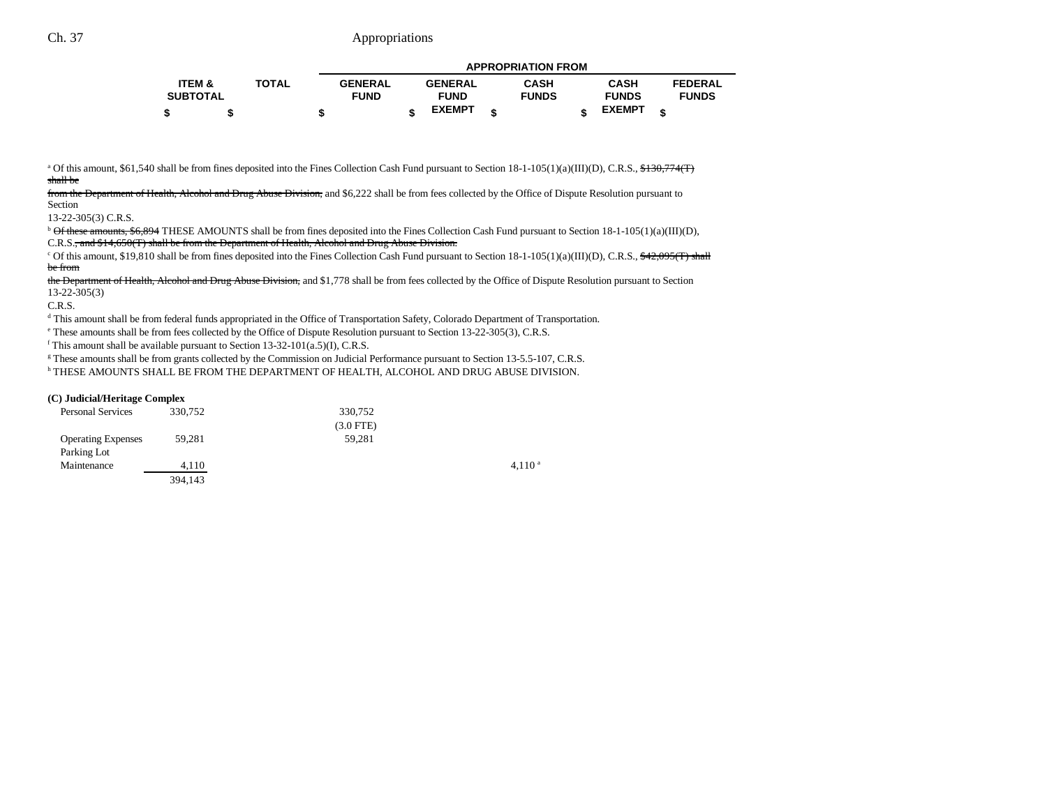|                   |              | <b>APPROPRIATION FROM</b> |  |                |  |              |  |               |  |                |
|-------------------|--------------|---------------------------|--|----------------|--|--------------|--|---------------|--|----------------|
| <b>ITEM &amp;</b> | <b>TOTAL</b> | <b>GENERAL</b>            |  | <b>GENERAL</b> |  | <b>CASH</b>  |  | <b>CASH</b>   |  | <b>FEDERAL</b> |
| <b>SUBTOTAL</b>   |              | <b>FUND</b>               |  | <b>FUND</b>    |  | <b>FUNDS</b> |  | <b>FUNDS</b>  |  | <b>FUNDS</b>   |
|                   |              |                           |  | <b>EXEMPT</b>  |  |              |  | <b>EXEMPT</b> |  |                |

<sup>a</sup> Of this amount, \$61,540 shall be from fines deposited into the Fines Collection Cash Fund pursuant to Section  $18-1-105(1)(a)(III)(D)$ , C.R.S.,  $\frac{$130,774(T)}{1}$ shall be

from the Department of Health, Alcohol and Drug Abuse Division, and \$6,222 shall be from fees collected by the Office of Dispute Resolution pursuant to Section

13-22-305(3) C.R.S.

 $b$  Of these amounts, \$6,894 THESE AMOUNTS shall be from fines deposited into the Fines Collection Cash Fund pursuant to Section 18-1-105(1)(a)(III)(D), C.R.S., and \$14,650(T) shall be from the Department of Health, Alcohol and Drug Abuse Division.

<sup>c</sup> Of this amount, \$19,810 shall be from fines deposited into the Fines Collection Cash Fund pursuant to Section  $18-1-105(1)(a)(III)(D)$ , C.R.S.,  $\frac{42,095(T)}{shall}$ be from

the Department of Health, Alcohol and Drug Abuse Division, and \$1,778 shall be from fees collected by the Office of Dispute Resolution pursuant to Section 13-22-305(3)

C.R.S.

<sup>d</sup> This amount shall be from federal funds appropriated in the Office of Transportation Safety, Colorado Department of Transportation.

e These amounts shall be from fees collected by the Office of Dispute Resolution pursuant to Section 13-22-305(3), C.R.S.

 $f$  This amount shall be available pursuant to Section 13-32-101(a.5)(I), C.R.S.

<sup>g</sup> These amounts shall be from grants collected by the Commission on Judicial Performance pursuant to Section 13-5.5-107, C.R.S.

h THESE AMOUNTS SHALL BE FROM THE DEPARTMENT OF HEALTH, ALCOHOL AND DRUG ABUSE DIVISION.

#### **(C) Judicial/Heritage Complex**

| <b>Personal Services</b>  | 330,752 | 330,752     |             |
|---------------------------|---------|-------------|-------------|
|                           |         | $(3.0$ FTE) |             |
| <b>Operating Expenses</b> | 59.281  | 59.281      |             |
| Parking Lot               |         |             |             |
| Maintenance               | 4.110   |             | $4.110^{a}$ |
|                           | 394,143 |             |             |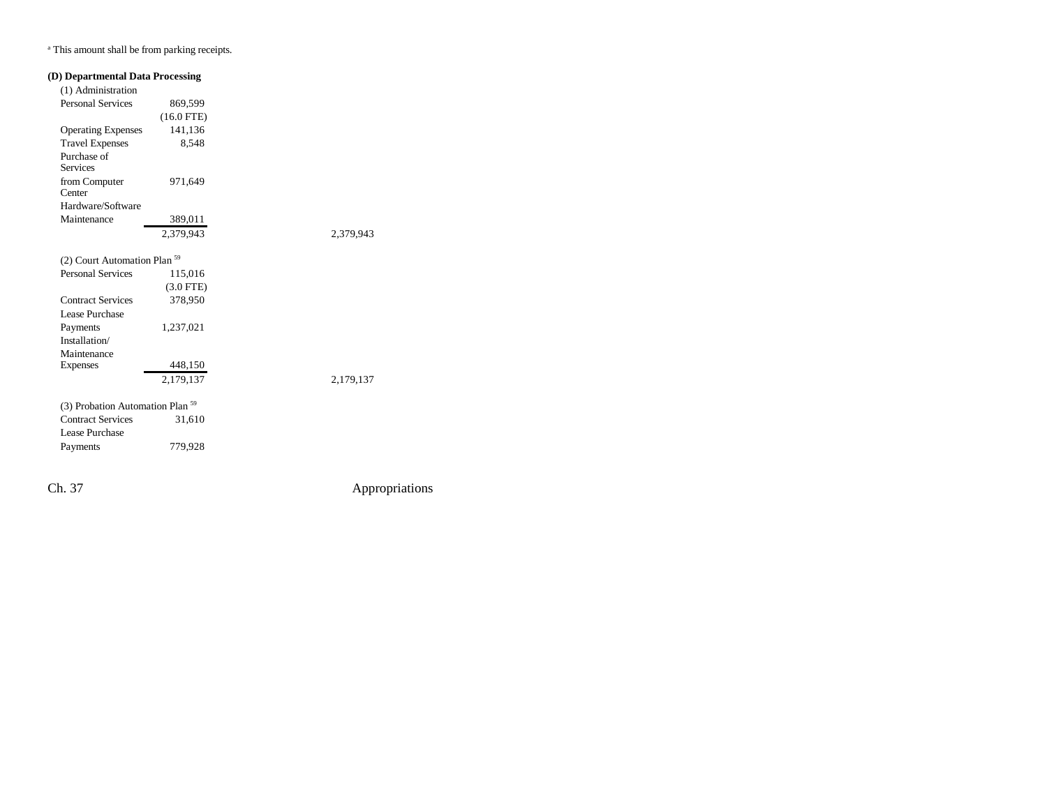<sup>a</sup> This amount shall be from parking receipts.

| (D) Departmental Data Processing            |              |           |
|---------------------------------------------|--------------|-----------|
| (1) Administration                          |              |           |
| <b>Personal Services</b>                    | 869,599      |           |
|                                             | $(16.0$ FTE) |           |
| <b>Operating Expenses</b>                   | 141,136      |           |
| <b>Travel Expenses</b>                      | 8,548        |           |
| Purchase of<br><b>Services</b>              |              |           |
| from Computer<br>Center                     | 971,649      |           |
| Hardware/Software                           |              |           |
| Maintenance                                 | 389,011      |           |
|                                             | 2,379,943    | 2,379,943 |
| (2) Court Automation Plan <sup>59</sup>     |              |           |
| <b>Personal Services</b>                    | 115,016      |           |
|                                             | $(3.0$ FTE)  |           |
| <b>Contract Services</b>                    | 378,950      |           |
| Lease Purchase                              |              |           |
| Payments                                    | 1,237,021    |           |
| Installation/                               |              |           |
| Maintenance                                 |              |           |
| <b>Expenses</b>                             | 448,150      |           |
|                                             | 2,179,137    | 2,179,137 |
| (3) Probation Automation Plan <sup>59</sup> |              |           |
| <b>Contract Services</b>                    | 31,610       |           |
| Lease Purchase                              |              |           |
| Payments                                    | 779,928      |           |
|                                             |              |           |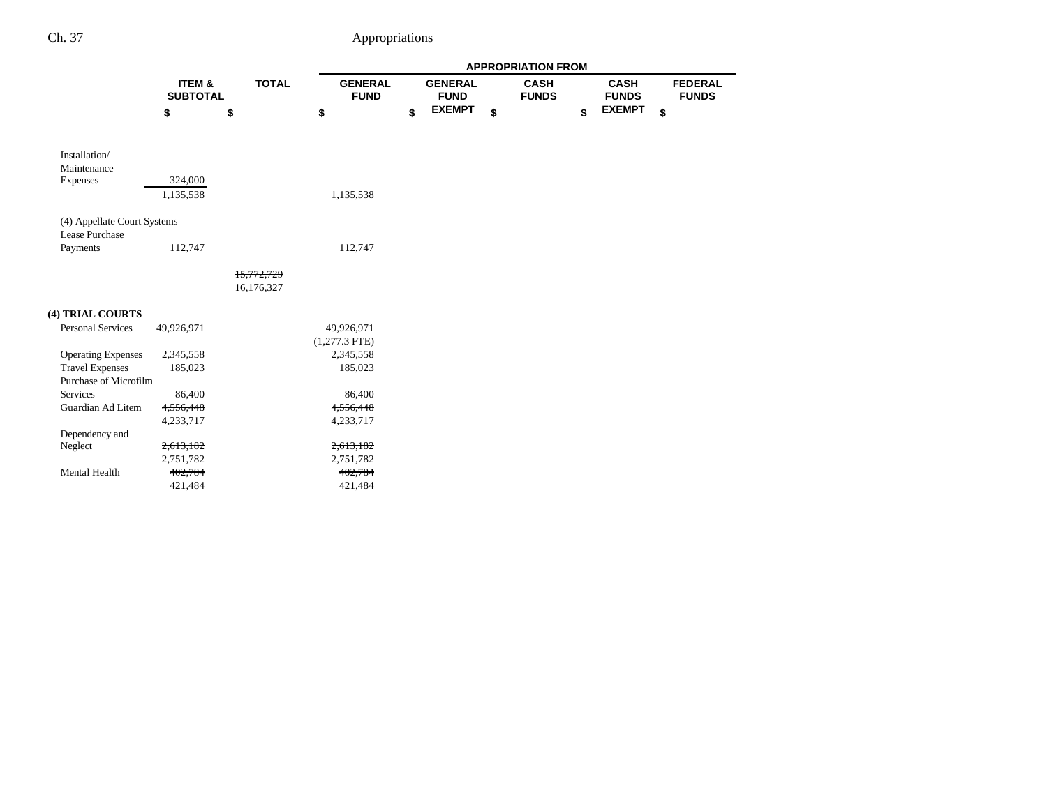|                                               |                           |              | <b>APPROPRIATION FROM</b>     |    |                               |    |                             |    |                             |    |                                |  |
|-----------------------------------------------|---------------------------|--------------|-------------------------------|----|-------------------------------|----|-----------------------------|----|-----------------------------|----|--------------------------------|--|
|                                               | ITEM &<br><b>SUBTOTAL</b> | <b>TOTAL</b> | <b>GENERAL</b><br><b>FUND</b> |    | <b>GENERAL</b><br><b>FUND</b> |    | <b>CASH</b><br><b>FUNDS</b> |    | <b>CASH</b><br><b>FUNDS</b> |    | <b>FEDERAL</b><br><b>FUNDS</b> |  |
|                                               | \$                        | \$           | \$                            | \$ | <b>EXEMPT</b>                 | \$ |                             | \$ | <b>EXEMPT</b>               | \$ |                                |  |
| Installation/<br>Maintenance                  |                           |              |                               |    |                               |    |                             |    |                             |    |                                |  |
| <b>Expenses</b>                               | 324,000                   |              |                               |    |                               |    |                             |    |                             |    |                                |  |
|                                               | 1,135,538                 |              | 1,135,538                     |    |                               |    |                             |    |                             |    |                                |  |
| (4) Appellate Court Systems<br>Lease Purchase |                           |              |                               |    |                               |    |                             |    |                             |    |                                |  |
| Payments                                      | 112,747                   |              | 112,747                       |    |                               |    |                             |    |                             |    |                                |  |
|                                               |                           | 15,772,729   |                               |    |                               |    |                             |    |                             |    |                                |  |
|                                               |                           | 16,176,327   |                               |    |                               |    |                             |    |                             |    |                                |  |
| (4) TRIAL COURTS                              |                           |              |                               |    |                               |    |                             |    |                             |    |                                |  |
| <b>Personal Services</b>                      | 49,926,971                |              | 49,926,971                    |    |                               |    |                             |    |                             |    |                                |  |
|                                               |                           |              | $(1,277.3$ FTE)               |    |                               |    |                             |    |                             |    |                                |  |
| <b>Operating Expenses</b>                     | 2,345,558                 |              | 2,345,558                     |    |                               |    |                             |    |                             |    |                                |  |
| <b>Travel Expenses</b>                        | 185,023                   |              | 185,023                       |    |                               |    |                             |    |                             |    |                                |  |
| Purchase of Microfilm                         |                           |              |                               |    |                               |    |                             |    |                             |    |                                |  |
| <b>Services</b>                               | 86,400                    |              | 86,400                        |    |                               |    |                             |    |                             |    |                                |  |
| Guardian Ad Litem                             | 4,556,448                 |              | 4,556,448                     |    |                               |    |                             |    |                             |    |                                |  |
|                                               | 4,233,717                 |              | 4,233,717                     |    |                               |    |                             |    |                             |    |                                |  |
| Dependency and                                |                           |              |                               |    |                               |    |                             |    |                             |    |                                |  |
| Neglect                                       | 2,613,182                 |              | 2,613,182                     |    |                               |    |                             |    |                             |    |                                |  |
|                                               | 2,751,782                 |              | 2,751,782                     |    |                               |    |                             |    |                             |    |                                |  |
| Mental Health                                 | 402,784                   |              | 402,784                       |    |                               |    |                             |    |                             |    |                                |  |
|                                               | 421,484                   |              | 421,484                       |    |                               |    |                             |    |                             |    |                                |  |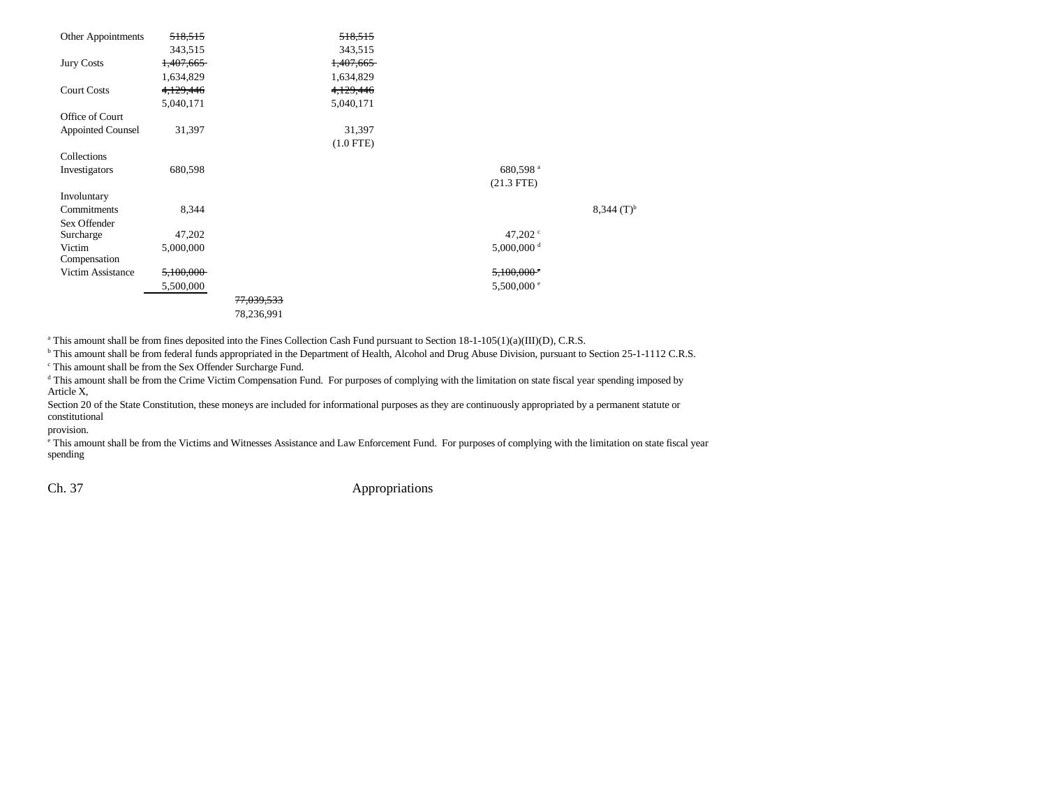| Other Appointments       | 518,515   |                       | 518,515     |                          |                     |
|--------------------------|-----------|-----------------------|-------------|--------------------------|---------------------|
|                          | 343,515   |                       | 343,515     |                          |                     |
| <b>Jury Costs</b>        | 1,407,665 |                       | 1,407,665   |                          |                     |
|                          | 1,634,829 |                       | 1,634,829   |                          |                     |
| <b>Court Costs</b>       | 4,129,446 |                       | 4,129,446   |                          |                     |
|                          | 5,040,171 |                       | 5,040,171   |                          |                     |
| Office of Court          |           |                       |             |                          |                     |
| <b>Appointed Counsel</b> | 31,397    |                       | 31,397      |                          |                     |
|                          |           |                       | $(1.0$ FTE) |                          |                     |
| Collections              |           |                       |             |                          |                     |
| Investigators            | 680,598   |                       |             | 680,598 <sup>a</sup>     |                     |
|                          |           |                       |             | $(21.3$ FTE)             |                     |
| Involuntary              |           |                       |             |                          |                     |
| Commitments              | 8,344     |                       |             |                          | $(3,344)$ $(T)^{b}$ |
| Sex Offender             |           |                       |             |                          |                     |
| Surcharge                | 47,202    |                       |             | 47,202 $\degree$         |                     |
| Victim                   | 5,000,000 |                       |             | $5,000,000$ <sup>d</sup> |                     |
| Compensation             |           |                       |             |                          |                     |
| Victim Assistance        | 5,100,000 |                       |             | $5,100,000$ <sup>c</sup> |                     |
|                          | 5,500,000 |                       |             | 5,500,000 $^{\circ}$     |                     |
|                          |           | <del>77,039,533</del> |             |                          |                     |
|                          |           | 78,236,991            |             |                          |                     |

<sup>a</sup> This amount shall be from fines deposited into the Fines Collection Cash Fund pursuant to Section 18-1-105(1)(a)(III)(D), C.R.S.

<sup>b</sup> This amount shall be from federal funds appropriated in the Department of Health, Alcohol and Drug Abuse Division, pursuant to Section 25-1-1112 C.R.S.

c This amount shall be from the Sex Offender Surcharge Fund.

<sup>d</sup> This amount shall be from the Crime Victim Compensation Fund. For purposes of complying with the limitation on state fiscal year spending imposed by Article X,

Section 20 of the State Constitution, these moneys are included for informational purposes as they are continuously appropriated by a permanent statute or constitutional

provision.

e This amount shall be from the Victims and Witnesses Assistance and Law Enforcement Fund. For purposes of complying with the limitation on state fiscal year spending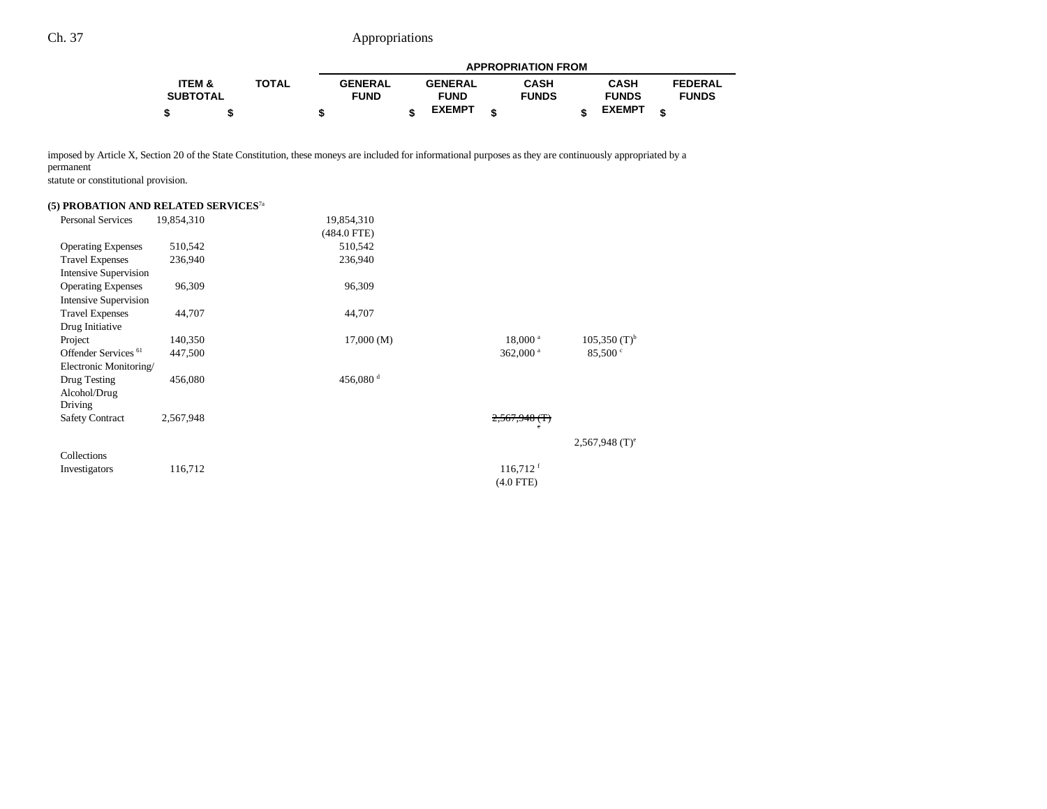|                 |              |                | <b>APPROPRIATION FROM</b> |                |  |              |  |               |                |  |
|-----------------|--------------|----------------|---------------------------|----------------|--|--------------|--|---------------|----------------|--|
| ITEM &          | <b>TOTAL</b> | <b>GENERAL</b> |                           | <b>GENERAL</b> |  | <b>CASH</b>  |  | <b>CASH</b>   | <b>FEDERAL</b> |  |
| <b>SUBTOTAL</b> |              | <b>FUND</b>    |                           | <b>FUND</b>    |  | <b>FUNDS</b> |  | <b>FUNDS</b>  | <b>FUNDS</b>   |  |
|                 |              |                |                           | <b>EXEMPT</b>  |  |              |  | <b>EXEMPT</b> | ¢              |  |

imposed by Article X, Section 20 of the State Constitution, these moneys are included for informational purposes as they are continuously appropriated by a permanent

statute or constitutional provision.

### **(5) PROBATION AND RELATED SERVICES**7a

| <b>Personal Services</b>        | 19,854,310 | 19,854,310         |                        |                              |
|---------------------------------|------------|--------------------|------------------------|------------------------------|
|                                 |            | $(484.0$ FTE)      |                        |                              |
| <b>Operating Expenses</b>       | 510,542    | 510,542            |                        |                              |
| <b>Travel Expenses</b>          | 236,940    | 236,940            |                        |                              |
| <b>Intensive Supervision</b>    |            |                    |                        |                              |
| <b>Operating Expenses</b>       | 96,309     | 96,309             |                        |                              |
| <b>Intensive Supervision</b>    |            |                    |                        |                              |
| <b>Travel Expenses</b>          | 44,707     | 44,707             |                        |                              |
| Drug Initiative                 |            |                    |                        |                              |
| Project                         | 140,350    | 17,000(M)          | $18,000^{\text{ a}}$   | $105,350$ (T) <sup>b</sup>   |
| Offender Services <sup>61</sup> | 447,500    |                    | 362,000 $a$            | 85,500 °                     |
| Electronic Monitoring/          |            |                    |                        |                              |
| Drug Testing                    | 456,080    | 456,080 $^{\rm d}$ |                        |                              |
| Alcohol/Drug                    |            |                    |                        |                              |
| Driving                         |            |                    |                        |                              |
| <b>Safety Contract</b>          | 2,567,948  |                    | $2,567,948$ (T)<br>e   |                              |
|                                 |            |                    |                        |                              |
|                                 |            |                    |                        | $2,567,948$ (T) <sup>e</sup> |
| Collections                     |            |                    |                        |                              |
| Investigators                   | 116,712    |                    | $116,712$ <sup>f</sup> |                              |
|                                 |            |                    | $(4.0$ FTE)            |                              |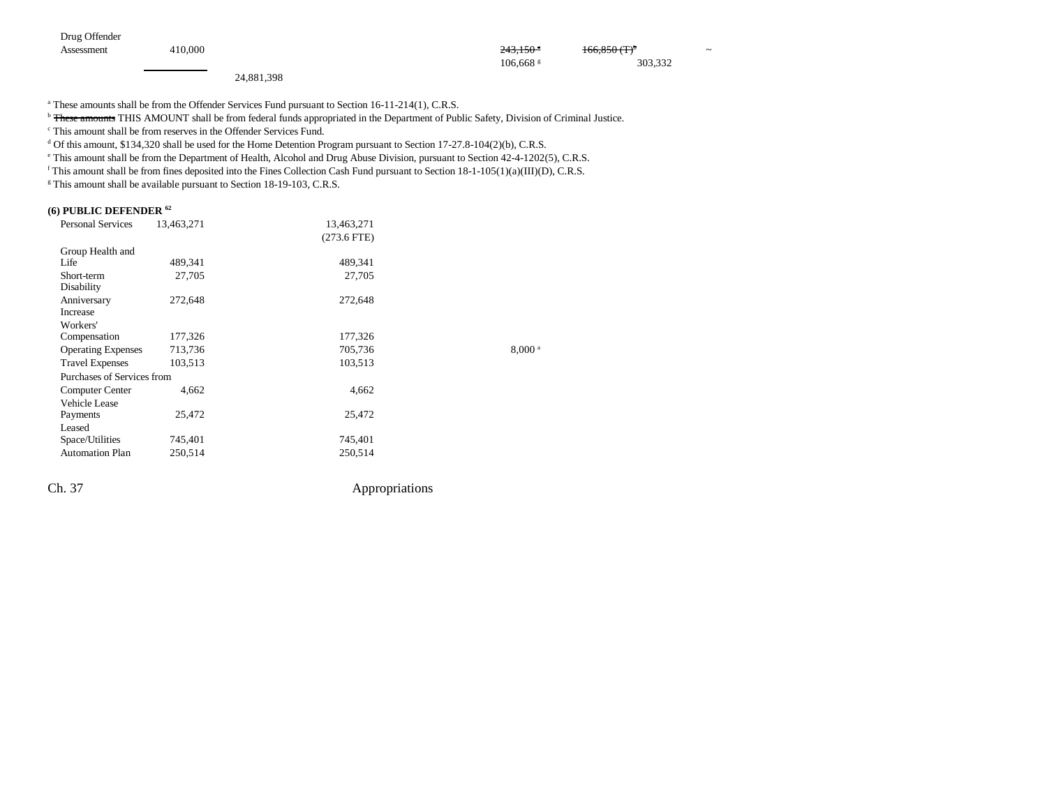Drug Offender

Assessment 410,000 243,150 g 166,850 (T)b ~

24,881,398

<sup>a</sup> These amounts shall be from the Offender Services Fund pursuant to Section 16-11-214(1), C.R.S.

<sup>b</sup> These amounts THIS AMOUNT shall be from federal funds appropriated in the Department of Public Safety, Division of Criminal Justice.

106,668 s 303,332

c This amount shall be from reserves in the Offender Services Fund.

 $^{\text{d}}$  Of this amount, \$134,320 shall be used for the Home Detention Program pursuant to Section 17-27.8-104(2)(b), C.R.S.

e This amount shall be from the Department of Health, Alcohol and Drug Abuse Division, pursuant to Section 42-4-1202(5), C.R.S.

<sup>f</sup> This amount shall be from fines deposited into the Fines Collection Cash Fund pursuant to Section  $18-1-105(1)(a)(III)(D)$ , C.R.S.

<sup>g</sup> This amount shall be available pursuant to Section 18-19-103, C.R.S.

#### **(6) PUBLIC DEFENDER 62**

| <b>Personal Services</b>   | 13,463,271 | 13,463,271    |                    |
|----------------------------|------------|---------------|--------------------|
|                            |            | $(273.6$ FTE) |                    |
| Group Health and           |            |               |                    |
| Life                       | 489,341    | 489,341       |                    |
| Short-term<br>Disability   | 27,705     | 27,705        |                    |
| Anniversary<br>Increase    | 272,648    | 272,648       |                    |
| Workers'                   |            |               |                    |
| Compensation               | 177,326    | 177,326       |                    |
| <b>Operating Expenses</b>  | 713,736    | 705,736       | 8,000 <sup>a</sup> |
| <b>Travel Expenses</b>     | 103,513    | 103,513       |                    |
| Purchases of Services from |            |               |                    |
| Computer Center            | 4,662      | 4,662         |                    |
| <b>Vehicle Lease</b>       |            |               |                    |
| Payments                   | 25,472     | 25,472        |                    |
| Leased                     |            |               |                    |
| Space/Utilities            | 745,401    | 745,401       |                    |
| <b>Automation Plan</b>     | 250,514    | 250,514       |                    |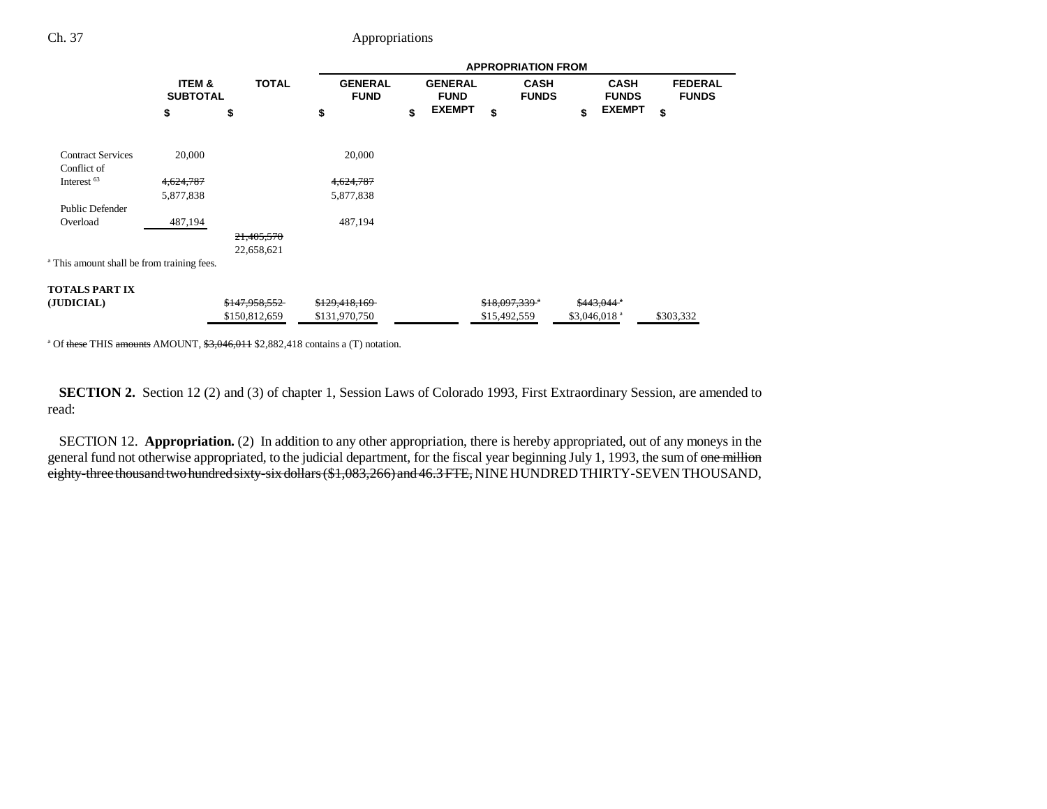|                                                       |                                      |                          | <b>APPROPRIATION FROM</b>     |    |                               |                            |                             |    |                             |                                |  |
|-------------------------------------------------------|--------------------------------------|--------------------------|-------------------------------|----|-------------------------------|----------------------------|-----------------------------|----|-----------------------------|--------------------------------|--|
|                                                       | <b>ITEM &amp;</b><br><b>SUBTOTAL</b> | <b>TOTAL</b>             | <b>GENERAL</b><br><b>FUND</b> |    | <b>GENERAL</b><br><b>FUND</b> |                            | <b>CASH</b><br><b>FUNDS</b> |    | <b>CASH</b><br><b>FUNDS</b> | <b>FEDERAL</b><br><b>FUNDS</b> |  |
|                                                       | \$                                   | \$                       | \$                            | \$ | <b>EXEMPT</b>                 | \$                         |                             | \$ | <b>EXEMPT</b>               | \$                             |  |
| <b>Contract Services</b><br>Conflict of               | 20,000                               |                          | 20,000                        |    |                               |                            |                             |    |                             |                                |  |
| Interest <sup>63</sup>                                | 4,624,787                            |                          | 4,624,787                     |    |                               |                            |                             |    |                             |                                |  |
|                                                       | 5,877,838                            |                          | 5,877,838                     |    |                               |                            |                             |    |                             |                                |  |
| <b>Public Defender</b>                                |                                      |                          |                               |    |                               |                            |                             |    |                             |                                |  |
| Overload                                              | 487,194                              |                          | 487,194                       |    |                               |                            |                             |    |                             |                                |  |
|                                                       |                                      | 21,405,570<br>22,658,621 |                               |    |                               |                            |                             |    |                             |                                |  |
| <sup>a</sup> This amount shall be from training fees. |                                      |                          |                               |    |                               |                            |                             |    |                             |                                |  |
| TOTALS PART IX                                        |                                      |                          |                               |    |                               |                            |                             |    |                             |                                |  |
| (JUDICIAL)                                            |                                      | <del>\$147,958,552</del> | \$129,418,169                 |    |                               | $$18,097,339$ <sup>a</sup> |                             |    | \$443,044"                  |                                |  |
|                                                       |                                      | \$150,812,659            | \$131,970,750                 |    |                               | \$15,492,559               |                             |    | $$3,046,018$ <sup>a</sup>   | \$303,332                      |  |

<sup>a</sup> Of these THIS amounts AMOUNT,  $\frac{63,046,011}{2,882,418}$  contains a (T) notation.

**SECTION 2.** Section 12 (2) and (3) of chapter 1, Session Laws of Colorado 1993, First Extraordinary Session, are amended to read:

SECTION 12. **Appropriation.** (2) In addition to any other appropriation, there is hereby appropriated, out of any moneys in the general fund not otherwise appropriated, to the judicial department, for the fiscal year beginning July 1, 1993, the sum of one million eighty-three thousand two hundred sixty-six dollars (\$1,083,266) and 46.3 FTE, NINE HUNDRED THIRTY-SEVEN THOUSAND,